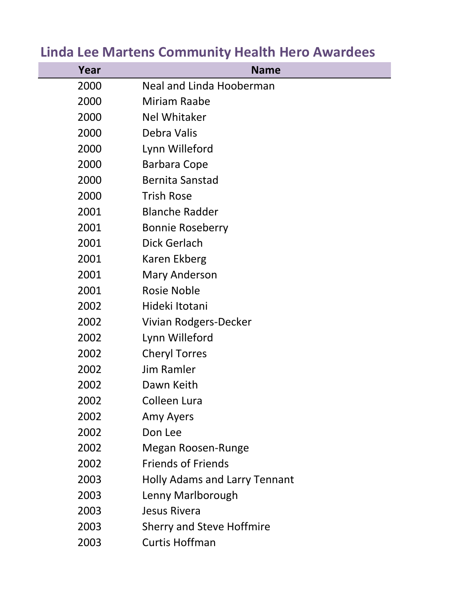| Year | <b>Name</b>                          |
|------|--------------------------------------|
| 2000 | <b>Neal and Linda Hooberman</b>      |
| 2000 | Miriam Raabe                         |
| 2000 | <b>Nel Whitaker</b>                  |
| 2000 | Debra Valis                          |
| 2000 | Lynn Willeford                       |
| 2000 | <b>Barbara Cope</b>                  |
| 2000 | <b>Bernita Sanstad</b>               |
| 2000 | <b>Trish Rose</b>                    |
| 2001 | <b>Blanche Radder</b>                |
| 2001 | <b>Bonnie Roseberry</b>              |
| 2001 | <b>Dick Gerlach</b>                  |
| 2001 | Karen Ekberg                         |
| 2001 | <b>Mary Anderson</b>                 |
| 2001 | <b>Rosie Noble</b>                   |
| 2002 | Hideki Itotani                       |
| 2002 | Vivian Rodgers-Decker                |
| 2002 | Lynn Willeford                       |
| 2002 | <b>Cheryl Torres</b>                 |
| 2002 | <b>Jim Ramler</b>                    |
| 2002 | Dawn Keith                           |
| 2002 | <b>Colleen Lura</b>                  |
| 2002 | Amy Ayers                            |
| 2002 | Don Lee                              |
| 2002 | Megan Roosen-Runge                   |
| 2002 | <b>Friends of Friends</b>            |
| 2003 | <b>Holly Adams and Larry Tennant</b> |
| 2003 | Lenny Marlborough                    |
| 2003 | <b>Jesus Rivera</b>                  |
| 2003 | <b>Sherry and Steve Hoffmire</b>     |
| 2003 | <b>Curtis Hoffman</b>                |

## **Linda Lee Martens Community Health Hero Awardees**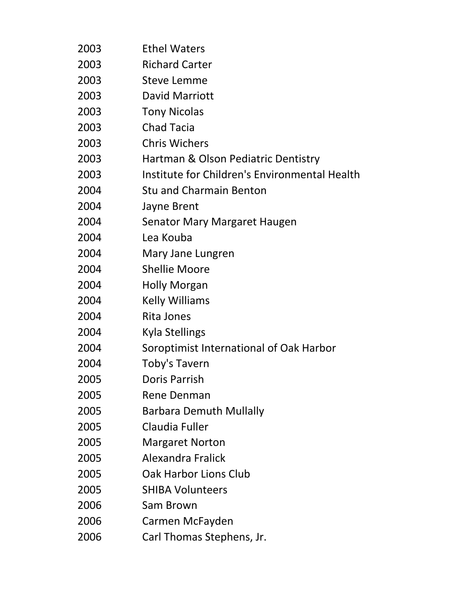| 2003 | <b>Ethel Waters</b>                           |
|------|-----------------------------------------------|
| 2003 | <b>Richard Carter</b>                         |
| 2003 | <b>Steve Lemme</b>                            |
| 2003 | David Marriott                                |
| 2003 | <b>Tony Nicolas</b>                           |
| 2003 | <b>Chad Tacia</b>                             |
| 2003 | <b>Chris Wichers</b>                          |
| 2003 | Hartman & Olson Pediatric Dentistry           |
| 2003 | Institute for Children's Environmental Health |
| 2004 | <b>Stu and Charmain Benton</b>                |
| 2004 | Jayne Brent                                   |
| 2004 | <b>Senator Mary Margaret Haugen</b>           |
| 2004 | Lea Kouba                                     |
| 2004 | Mary Jane Lungren                             |
| 2004 | <b>Shellie Moore</b>                          |
| 2004 | <b>Holly Morgan</b>                           |
| 2004 | <b>Kelly Williams</b>                         |
| 2004 | Rita Jones                                    |
| 2004 | <b>Kyla Stellings</b>                         |
| 2004 | Soroptimist International of Oak Harbor       |
| 2004 | Toby's Tavern                                 |
| 2005 | Doris Parrish                                 |
| 2005 | <b>Rene Denman</b>                            |
| 2005 | <b>Barbara Demuth Mullally</b>                |
| 2005 | Claudia Fuller                                |
| 2005 | <b>Margaret Norton</b>                        |
| 2005 | <b>Alexandra Fralick</b>                      |
| 2005 | Oak Harbor Lions Club                         |
| 2005 | <b>SHIBA Volunteers</b>                       |
| 2006 | Sam Brown                                     |
| 2006 | Carmen McFayden                               |
| 2006 | Carl Thomas Stephens, Jr.                     |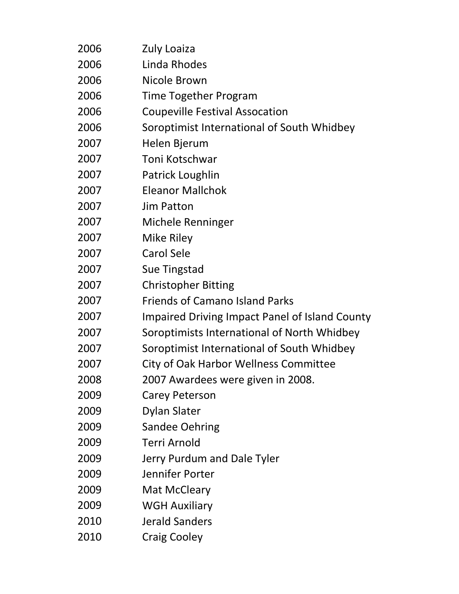| 2006 | Zuly Loaiza                                           |
|------|-------------------------------------------------------|
| 2006 | Linda Rhodes                                          |
| 2006 | Nicole Brown                                          |
| 2006 | Time Together Program                                 |
| 2006 | <b>Coupeville Festival Assocation</b>                 |
| 2006 | Soroptimist International of South Whidbey            |
| 2007 | Helen Bjerum                                          |
| 2007 | Toni Kotschwar                                        |
| 2007 | Patrick Loughlin                                      |
| 2007 | <b>Eleanor Mallchok</b>                               |
| 2007 | <b>Jim Patton</b>                                     |
| 2007 | Michele Renninger                                     |
| 2007 | <b>Mike Riley</b>                                     |
| 2007 | <b>Carol Sele</b>                                     |
| 2007 | Sue Tingstad                                          |
| 2007 | <b>Christopher Bitting</b>                            |
| 2007 | <b>Friends of Camano Island Parks</b>                 |
| 2007 | <b>Impaired Driving Impact Panel of Island County</b> |
| 2007 | Soroptimists International of North Whidbey           |
| 2007 | Soroptimist International of South Whidbey            |
| 2007 | City of Oak Harbor Wellness Committee                 |
| 2008 | 2007 Awardees were given in 2008.                     |
| 2009 | <b>Carey Peterson</b>                                 |
| 2009 | <b>Dylan Slater</b>                                   |
| 2009 | <b>Sandee Oehring</b>                                 |
| 2009 | <b>Terri Arnold</b>                                   |
| 2009 | Jerry Purdum and Dale Tyler                           |
| 2009 | Jennifer Porter                                       |
| 2009 | Mat McCleary                                          |
| 2009 | <b>WGH Auxiliary</b>                                  |
| 2010 | <b>Jerald Sanders</b>                                 |
| 2010 | <b>Craig Cooley</b>                                   |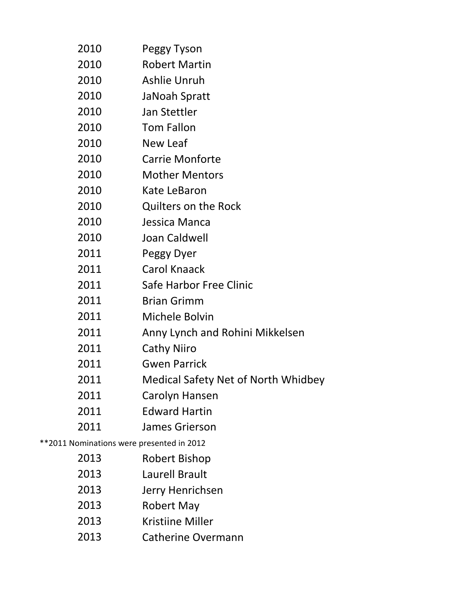| 2010                                      | Peggy Tyson                                |
|-------------------------------------------|--------------------------------------------|
| 2010                                      | <b>Robert Martin</b>                       |
| 2010                                      | <b>Ashlie Unruh</b>                        |
| 2010                                      | JaNoah Spratt                              |
| 2010                                      | Jan Stettler                               |
| 2010                                      | <b>Tom Fallon</b>                          |
| 2010                                      | New Leaf                                   |
| 2010                                      | <b>Carrie Monforte</b>                     |
| 2010                                      | <b>Mother Mentors</b>                      |
| 2010                                      | Kate LeBaron                               |
| 2010                                      | <b>Quilters on the Rock</b>                |
| 2010                                      | Jessica Manca                              |
| 2010                                      | Joan Caldwell                              |
| 2011                                      | Peggy Dyer                                 |
| 2011                                      | <b>Carol Knaack</b>                        |
| 2011                                      | Safe Harbor Free Clinic                    |
| 2011                                      | <b>Brian Grimm</b>                         |
| 2011                                      | Michele Bolvin                             |
| 2011                                      | Anny Lynch and Rohini Mikkelsen            |
| 2011                                      | <b>Cathy Niiro</b>                         |
| 2011                                      | <b>Gwen Parrick</b>                        |
| 2011                                      | <b>Medical Safety Net of North Whidbey</b> |
| 2011                                      | Carolyn Hansen                             |
| 2011                                      | <b>Edward Hartin</b>                       |
| 2011                                      | James Grierson                             |
| **2011 Nominations were presented in 2012 |                                            |
| 2013                                      | Robert Bishop                              |

- Laurell Brault
- Jerry Henrichsen
- Robert May
- Kristiine Miller
- Catherine Overmann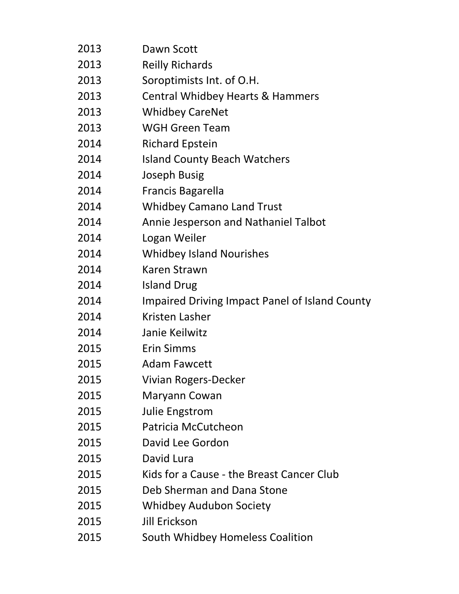| 2013 | Dawn Scott                                     |
|------|------------------------------------------------|
| 2013 | <b>Reilly Richards</b>                         |
| 2013 | Soroptimists Int. of O.H.                      |
| 2013 | <b>Central Whidbey Hearts &amp; Hammers</b>    |
| 2013 | <b>Whidbey CareNet</b>                         |
| 2013 | <b>WGH Green Team</b>                          |
| 2014 | <b>Richard Epstein</b>                         |
| 2014 | <b>Island County Beach Watchers</b>            |
| 2014 | Joseph Busig                                   |
| 2014 | <b>Francis Bagarella</b>                       |
| 2014 | <b>Whidbey Camano Land Trust</b>               |
| 2014 | Annie Jesperson and Nathaniel Talbot           |
| 2014 | Logan Weiler                                   |
| 2014 | <b>Whidbey Island Nourishes</b>                |
| 2014 | Karen Strawn                                   |
| 2014 | <b>Island Drug</b>                             |
| 2014 | Impaired Driving Impact Panel of Island County |
| 2014 | Kristen Lasher                                 |
| 2014 | Janie Keilwitz                                 |
| 2015 | <b>Erin Simms</b>                              |
| 2015 | <b>Adam Fawcett</b>                            |
| 2015 | Vivian Rogers-Decker                           |
| 2015 | Maryann Cowan                                  |
| 2015 | <b>Julie Engstrom</b>                          |
| 2015 | Patricia McCutcheon                            |
| 2015 | David Lee Gordon                               |
| 2015 | David Lura                                     |
| 2015 | Kids for a Cause - the Breast Cancer Club      |
| 2015 | Deb Sherman and Dana Stone                     |
| 2015 | <b>Whidbey Audubon Society</b>                 |
| 2015 | <b>Jill Erickson</b>                           |
| 2015 | South Whidbey Homeless Coalition               |
|      |                                                |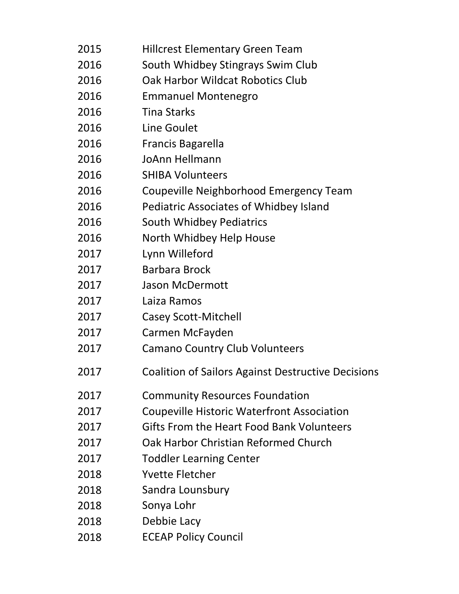| 2015 | <b>Hillcrest Elementary Green Team</b>                    |
|------|-----------------------------------------------------------|
| 2016 | South Whidbey Stingrays Swim Club                         |
| 2016 | Oak Harbor Wildcat Robotics Club                          |
| 2016 | <b>Emmanuel Montenegro</b>                                |
| 2016 | <b>Tina Starks</b>                                        |
| 2016 | Line Goulet                                               |
| 2016 | Francis Bagarella                                         |
| 2016 | JoAnn Hellmann                                            |
| 2016 | <b>SHIBA Volunteers</b>                                   |
| 2016 | Coupeville Neighborhood Emergency Team                    |
| 2016 | <b>Pediatric Associates of Whidbey Island</b>             |
| 2016 | <b>South Whidbey Pediatrics</b>                           |
| 2016 | North Whidbey Help House                                  |
| 2017 | Lynn Willeford                                            |
| 2017 | <b>Barbara Brock</b>                                      |
| 2017 | <b>Jason McDermott</b>                                    |
| 2017 | Laiza Ramos                                               |
| 2017 | <b>Casey Scott-Mitchell</b>                               |
| 2017 | Carmen McFayden                                           |
| 2017 | <b>Camano Country Club Volunteers</b>                     |
| 2017 | <b>Coalition of Sailors Against Destructive Decisions</b> |
| 2017 | <b>Community Resources Foundation</b>                     |
| 2017 | <b>Coupeville Historic Waterfront Association</b>         |
| 2017 | Gifts From the Heart Food Bank Volunteers                 |
| 2017 | Oak Harbor Christian Reformed Church                      |
| 2017 | <b>Toddler Learning Center</b>                            |
| 2018 | <b>Yvette Fletcher</b>                                    |
| 2018 | Sandra Lounsbury                                          |
| 2018 | Sonya Lohr                                                |
| 2018 | Debbie Lacy                                               |
| 2018 | <b>ECEAP Policy Council</b>                               |